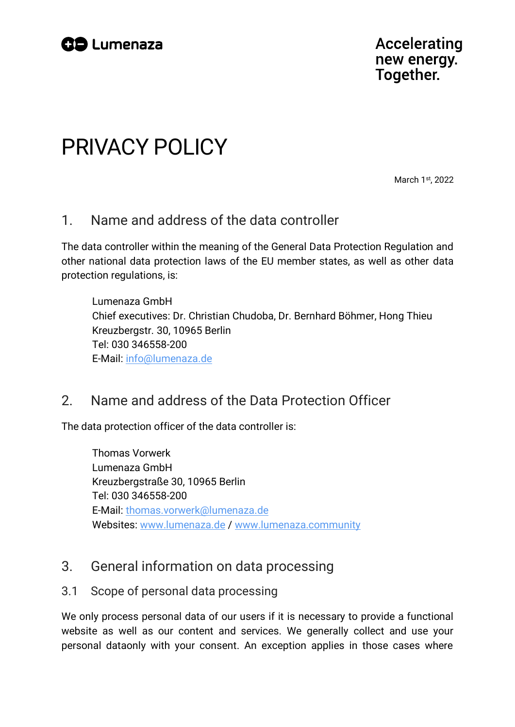

**Accelerating** new energy. Together.

# PRIVACY POLICY

March 1<sup>st</sup>, 2022

# 1. Name and address of the data controller

The data controller within the meaning of the General Data Protection Regulation and other national data protection laws of the EU member states, as well as other data protection regulations, is:

Lumenaza GmbH Chief executives: Dr. Christian Chudoba, Dr. Bernhard Böhmer, Hong Thieu Kreuzbergstr. 30, 10965 Berlin Tel: 030 346558-200 E-Mail: [info@lumenaza.de](mailto:info@lumenaza.de?subject=Anfrage%20bzgl.%20Ihrer%20Datenschutzhinweise)

# 2. Name and address of the Data Protection Officer

The data protection officer of the data controller is:

Thomas Vorwerk Lumenaza GmbH Kreuzbergstraße 30, 10965 Berlin Tel: 030 346558-200 E-Mail: [thomas.vorwerk@lumenaza.de](mailto:thomas.vorwerk@lumenaza.de?subject=Anfrage%20bzgl.%20Ihrer%20Datenschutzhinweise) Websites: [www.lumenaza.de](https://www.lumenaza.de/) / [www.lumenaza.community](https://www.lumenaza.community/)

# 3. General information on data processing

#### 3.1 Scope of personal data processing

We only process personal data of our users if it is necessary to provide a functional website as well as our content and services. We generally collect and use your personal dataonly with your consent. An exception applies in those cases where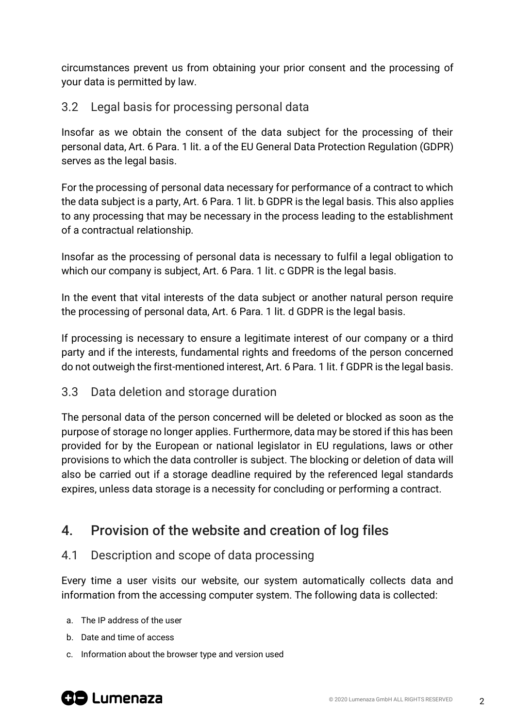circumstances prevent us from obtaining your prior consent and the processing of your data is permitted by law.

# 3.2 Legal basis for processing personal data

Insofar as we obtain the consent of the data subject for the processing of their personal data, Art. 6 Para. 1 lit. a of the EU General Data Protection Regulation (GDPR) serves as the legal basis.

For the processing of personal data necessary for performance of a contract to which the data subject is a party, Art. 6 Para. 1 lit. b GDPR is the legal basis. This also applies to any processing that may be necessary in the process leading to the establishment of a contractual relationship.

Insofar as the processing of personal data is necessary to fulfil a legal obligation to which our company is subject. Art. 6 Para. 1 lit. c GDPR is the legal basis.

In the event that vital interests of the data subject or another natural person require the processing of personal data, Art. 6 Para. 1 lit. d GDPR is the legal basis.

If processing is necessary to ensure a legitimate interest of our company or a third party and if the interests, fundamental rights and freedoms of the person concerned do not outweigh the first-mentioned interest, Art. 6 Para. 1 lit. f GDPR is the legal basis.

### 3.3 Data deletion and storage duration

The personal data of the person concerned will be deleted or blocked as soon as the purpose of storage no longer applies. Furthermore, data may be stored if this has been provided for by the European or national legislator in EU regulations, laws or other provisions to which the data controller is subject. The blocking or deletion of data will also be carried out if a storage deadline required by the referenced legal standards expires, unless data storage is a necessity for concluding or performing a contract.

# 4. Provision of the website and creation of log files

### 4.1 Description and scope of data processing

Every time a user visits our website, our system automatically collects data and information from the accessing computer system. The following data is collected:

- a. The IP address of the user
- b. Date and time of access
- c. Information about the browser type and version used

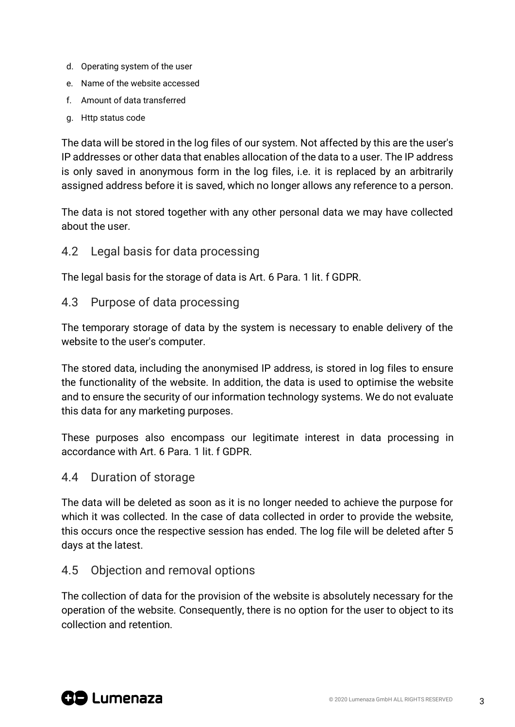- d. Operating system of the user
- e. Name of the website accessed
- f. Amount of data transferred
- g. Http status code

The data will be stored in the log files of our system. Not affected by this are the user's IP addresses or other data that enables allocation of the data to a user. The IP address is only saved in anonymous form in the log files, i.e. it is replaced by an arbitrarily assigned address before it is saved, which no longer allows any reference to a person.

The data is not stored together with any other personal data we may have collected about the user.

#### 4.2 Legal basis for data processing

The legal basis for the storage of data is Art. 6 Para. 1 lit. f GDPR.

#### 4.3 Purpose of data processing

The temporary storage of data by the system is necessary to enable delivery of the website to the user's computer.

The stored data, including the anonymised IP address, is stored in log files to ensure the functionality of the website. In addition, the data is used to optimise the website and to ensure the security of our information technology systems. We do not evaluate this data for any marketing purposes.

These purposes also encompass our legitimate interest in data processing in accordance with Art. 6 Para. 1 lit. f GDPR.

#### 4.4 Duration of storage

The data will be deleted as soon as it is no longer needed to achieve the purpose for which it was collected. In the case of data collected in order to provide the website, this occurs once the respective session has ended. The log file will be deleted after 5 days at the latest.

#### 4.5 Objection and removal options

The collection of data for the provision of the website is absolutely necessary for the operation of the website. Consequently, there is no option for the user to object to its collection and retention.

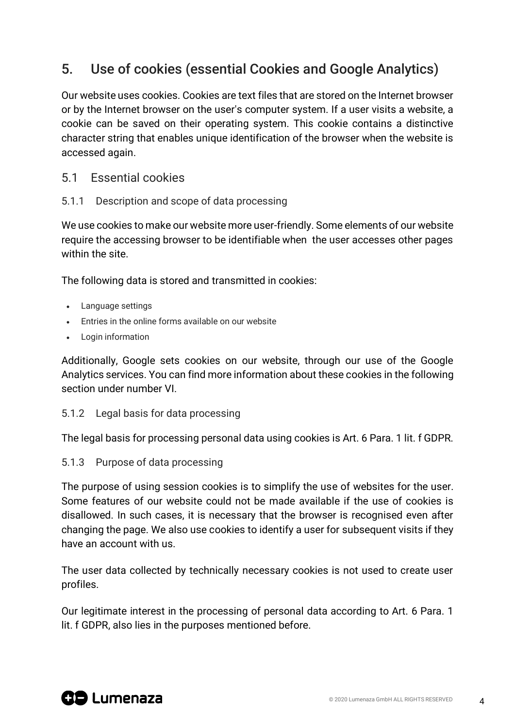# 5. Use of cookies (essential Cookies and Google Analytics)

Our website uses cookies. Cookies are text files that are stored on the Internet browser or by the Internet browser on the user's computer system. If a user visits a website, a cookie can be saved on their operating system. This cookie contains a distinctive character string that enables unique identification of the browser when the website is accessed again.

#### 5.1 Essential cookies

#### 5.1.1 Description and scope of data processing

We use cookies to make our website more user-friendly. Some elements of our website require the accessing browser to be identifiable when the user accesses other pages within the site.

The following data is stored and transmitted in cookies:

- Language settings
- Entries in the online forms available on our website
- Login information

Additionally, Google sets cookies on our website, through our use of the Google Analytics services. You can find more information about these cookies in the following section under number VI.

#### 5.1.2 Legal basis for data processing

The legal basis for processing personal data using cookies is Art. 6 Para. 1 lit. f GDPR.

#### 5.1.3 Purpose of data processing

The purpose of using session cookies is to simplify the use of websites for the user. Some features of our website could not be made available if the use of cookies is disallowed. In such cases, it is necessary that the browser is recognised even after changing the page. We also use cookies to identify a user for subsequent visits if they have an account with us.

The user data collected by technically necessary cookies is not used to create user profiles.

Our legitimate interest in the processing of personal data according to Art. 6 Para. 1 lit. f GDPR, also lies in the purposes mentioned before.

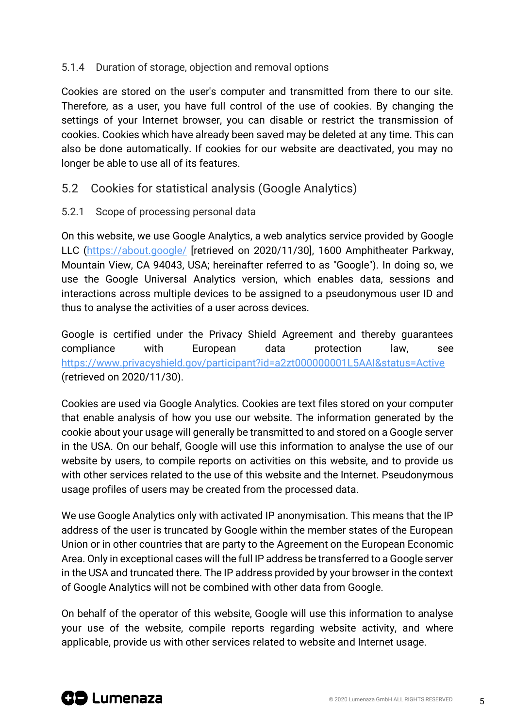#### 5.1.4 Duration of storage, objection and removal options

Cookies are stored on the user's computer and transmitted from there to our site. Therefore, as a user, you have full control of the use of cookies. By changing the settings of your Internet browser, you can disable or restrict the transmission of cookies. Cookies which have already been saved may be deleted at any time. This can also be done automatically. If cookies for our website are deactivated, you may no longer be able to use all of its features.

### 5.2 Cookies for statistical analysis (Google Analytics)

5.2.1 Scope of processing personal data

On this website, we use Google Analytics, a web analytics service provided by Google LLC [\(https://about.google/](https://about.google/) [retrieved on 2020/11/30], 1600 Amphitheater Parkway, Mountain View, CA 94043, USA; hereinafter referred to as "Google"). In doing so, we use the Google Universal Analytics version, which enables data, sessions and interactions across multiple devices to be assigned to a pseudonymous user ID and thus to analyse the activities of a user across devices.

Google is certified under the Privacy Shield Agreement and thereby guarantees compliance with European data protection law, see <https://www.privacyshield.gov/participant?id=a2zt000000001L5AAI&status=Active> (retrieved on 2020/11/30).

Cookies are used via Google Analytics. Cookies are text files stored on your computer that enable analysis of how you use our website. The information generated by the cookie about your usage will generally be transmitted to and stored on a Google server in the USA. On our behalf, Google will use this information to analyse the use of our website by users, to compile reports on activities on this website, and to provide us with other services related to the use of this website and the Internet. Pseudonymous usage profiles of users may be created from the processed data.

We use Google Analytics only with activated IP anonymisation. This means that the IP address of the user is truncated by Google within the member states of the European Union or in other countries that are party to the Agreement on the European Economic Area. Only in exceptional cases will the full IP address be transferred to a Google server in the USA and truncated there. The IP address provided by your browser in the context of Google Analytics will not be combined with other data from Google.

On behalf of the operator of this website, Google will use this information to analyse your use of the website, compile reports regarding website activity, and where applicable, provide us with other services related to website and Internet usage.

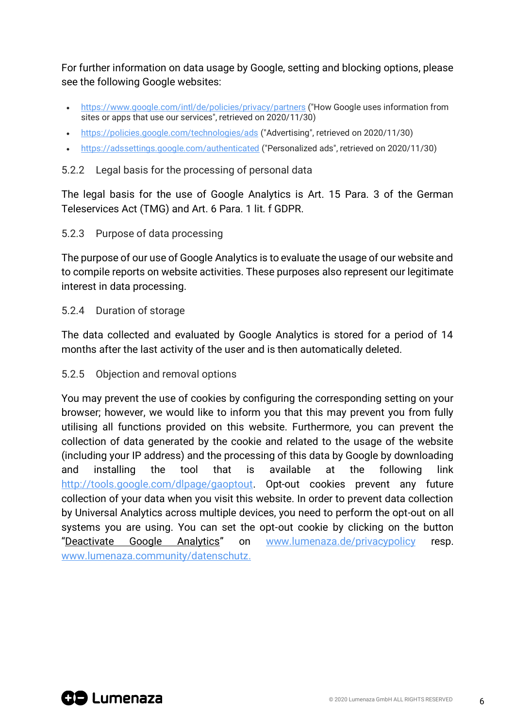For further information on data usage by Google, setting and blocking options, please see the following Google websites:

- <https://www.google.com/intl/de/policies/privacy/partners> ("How Google uses information from sites or apps that use our services", retrieved on 2020/11/30)
- <https://policies.google.com/technologies/ads> ("Advertising", retrieved on 2020/11/30)
- <https://adssettings.google.com/authenticated> ("Personalized ads", retrieved on 2020/11/30)

#### 5.2.2 Legal basis for the processing of personal data

The legal basis for the use of Google Analytics is Art. 15 Para. 3 of the German Teleservices Act (TMG) and Art. 6 Para. 1 lit. f GDPR.

#### 5.2.3 Purpose of data processing

The purpose of our use of Google Analytics is to evaluate the usage of our website and to compile reports on website activities. These purposes also represent our legitimate interest in data processing.

#### 5.2.4 Duration of storage

The data collected and evaluated by Google Analytics is stored for a period of 14 months after the last activity of the user and is then automatically deleted.

#### 5.2.5 Objection and removal options

You may prevent the use of cookies by configuring the corresponding setting on your browser; however, we would like to inform you that this may prevent you from fully utilising all functions provided on this website. Furthermore, you can prevent the collection of data generated by the cookie and related to the usage of the website (including your IP address) and the processing of this data by Google by downloading and installing the tool that is available at the following link [http://tools.google.com/dlpage/gaoptout.](https://tools.google.com/dlpage/gaoptout) Opt-out cookies prevent any future collection of your data when you visit this website. In order to prevent data collection by Universal Analytics across multiple devices, you need to perform the opt-out on all systems you are using. You can set the opt-out cookie by clicking on the button "Deactivate Google Analytics" on [www.lumenaza.de/privacypolicy](https://www.lumenaza.de/privacypolicy) resp. [www.lumenaza.community/datenschutz.](https://www.lumenaza.community/datenschutz)

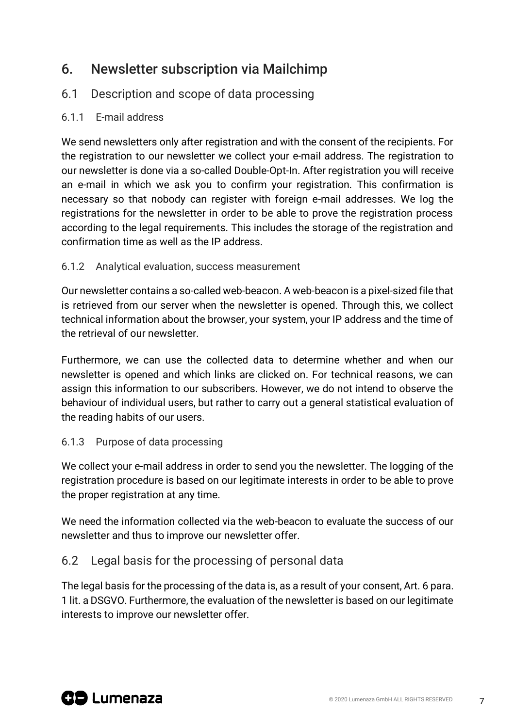# 6. Newsletter subscription via Mailchimp

# 6.1 Description and scope of data processing

### 6.1.1 E-mail address

We send newsletters only after registration and with the consent of the recipients. For the registration to our newsletter we collect your e-mail address. The registration to our newsletter is done via a so-called Double-Opt-In. After registration you will receive an e-mail in which we ask you to confirm your registration. This confirmation is necessary so that nobody can register with foreign e-mail addresses. We log the registrations for the newsletter in order to be able to prove the registration process according to the legal requirements. This includes the storage of the registration and confirmation time as well as the IP address.

#### 6.1.2 Analytical evaluation, success measurement

Our newsletter contains a so-called web-beacon. A web-beacon is a pixel-sized file that is retrieved from our server when the newsletter is opened. Through this, we collect technical information about the browser, your system, your IP address and the time of the retrieval of our newsletter.

Furthermore, we can use the collected data to determine whether and when our newsletter is opened and which links are clicked on. For technical reasons, we can assign this information to our subscribers. However, we do not intend to observe the behaviour of individual users, but rather to carry out a general statistical evaluation of the reading habits of our users.

#### 6.1.3 Purpose of data processing

We collect your e-mail address in order to send you the newsletter. The logging of the registration procedure is based on our legitimate interests in order to be able to prove the proper registration at any time.

We need the information collected via the web-beacon to evaluate the success of our newsletter and thus to improve our newsletter offer.

### 6.2 Legal basis for the processing of personal data

The legal basis for the processing of the data is, as a result of your consent, Art. 6 para. 1 lit. a DSGVO. Furthermore, the evaluation of the newsletter is based on our legitimate interests to improve our newsletter offer.

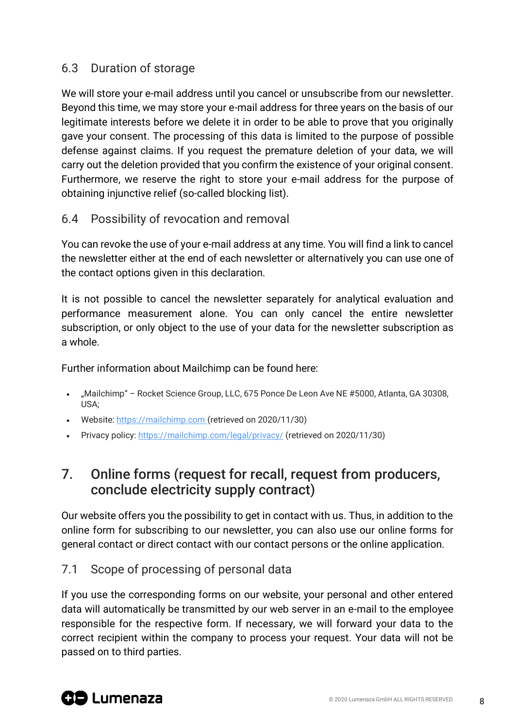# 6.3 Duration of storage

We will store your e-mail address until you cancel or unsubscribe from our newsletter. Beyond this time, we may store your e-mail address for three years on the basis of our legitimate interests before we delete it in order to be able to prove that you originally gave your consent. The processing of this data is limited to the purpose of possible defense against claims. If you request the premature deletion of your data, we will carry out the deletion provided that you confirm the existence of your original consent. Furthermore, we reserve the right to store your e-mail address for the purpose of obtaining injunctive relief (so-called blocking list).

### 6.4 Possibility of revocation and removal

You can revoke the use of your e-mail address at any time. You will find a link to cancel the newsletter either at the end of each newsletter or alternatively you can use one of the contact options given in this declaration.

It is not possible to cancel the newsletter separately for analytical evaluation and performance measurement alone. You can only cancel the entire newsletter subscription, or only object to the use of your data for the newsletter subscription as a whole.

Further information about Mailchimp can be found here:

- "Mailchimp" Rocket Science Group, LLC, 675 Ponce De Leon Ave NE #5000, Atlanta, GA 30308, USA;
- Website[: https://mailchimp.com](https://mailchimp.com/) (retrieved on 2020/11/30)
- Privacy policy[: https://mailchimp.com/legal/privacy/](https://mailchimp.com/legal/privacy/) (retrieved on 2020/11/30)

# 7. Online forms (request for recall, request from producers, conclude electricity supply contract)

Our website offers you the possibility to get in contact with us. Thus, in addition to the online form for subscribing to our newsletter, you can also use our online forms for general contact or direct contact with our contact persons or the online application.

# 7.1 Scope of processing of personal data

If you use the corresponding forms on our website, your personal and other entered data will automatically be transmitted by our web server in an e-mail to the employee responsible for the respective form. If necessary, we will forward your data to the correct recipient within the company to process your request. Your data will not be passed on to third parties.

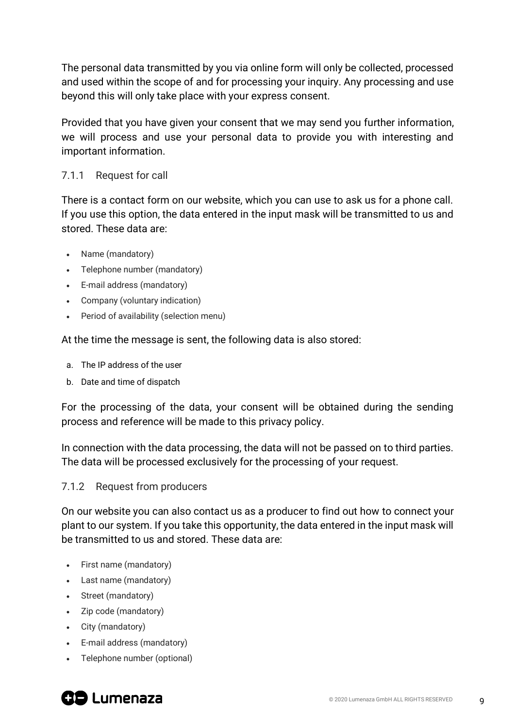The personal data transmitted by you via online form will only be collected, processed and used within the scope of and for processing your inquiry. Any processing and use beyond this will only take place with your express consent.

Provided that you have given your consent that we may send you further information, we will process and use your personal data to provide you with interesting and important information.

#### 7.1.1 Request for call

There is a contact form on our website, which you can use to ask us for a phone call. If you use this option, the data entered in the input mask will be transmitted to us and stored. These data are:

- Name (mandatory)
- Telephone number (mandatory)
- E-mail address (mandatory)
- Company (voluntary indication)
- Period of availability (selection menu)

At the time the message is sent, the following data is also stored:

- a. The IP address of the user
- b. Date and time of dispatch

For the processing of the data, your consent will be obtained during the sending process and reference will be made to this privacy policy.

In connection with the data processing, the data will not be passed on to third parties. The data will be processed exclusively for the processing of your request.

#### 7.1.2 Request from producers

On our website you can also contact us as a producer to find out how to connect your plant to our system. If you take this opportunity, the data entered in the input mask will be transmitted to us and stored. These data are:

- First name (mandatory)
- Last name (mandatory)
- Street (mandatory)
- Zip code (mandatory)
- City (mandatory)
- E-mail address (mandatory)
- Telephone number (optional)

# **GD** Lumenaza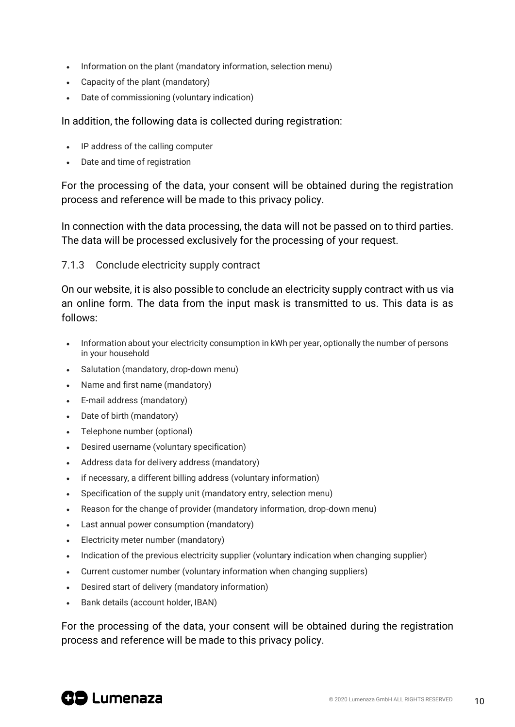- Information on the plant (mandatory information, selection menu)
- Capacity of the plant (mandatory)
- Date of commissioning (voluntary indication)

In addition, the following data is collected during registration:

- IP address of the calling computer
- Date and time of registration

For the processing of the data, your consent will be obtained during the registration process and reference will be made to this privacy policy.

In connection with the data processing, the data will not be passed on to third parties. The data will be processed exclusively for the processing of your request.

#### 7.1.3 Conclude electricity supply contract

On our website, it is also possible to conclude an electricity supply contract with us via an online form. The data from the input mask is transmitted to us. This data is as follows:

- Information about your electricity consumption in kWh per year, optionally the number of persons in your household
- Salutation (mandatory, drop-down menu)
- Name and first name (mandatory)
- E-mail address (mandatory)
- Date of birth (mandatory)
- Telephone number (optional)
- Desired username (voluntary specification)
- Address data for delivery address (mandatory)
- if necessary, a different billing address (voluntary information)
- Specification of the supply unit (mandatory entry, selection menu)
- Reason for the change of provider (mandatory information, drop-down menu)
- Last annual power consumption (mandatory)
- Electricity meter number (mandatory)
- Indication of the previous electricity supplier (voluntary indication when changing supplier)
- Current customer number (voluntary information when changing suppliers)
- Desired start of delivery (mandatory information)
- Bank details (account holder, IBAN)

For the processing of the data, your consent will be obtained during the registration process and reference will be made to this privacy policy.

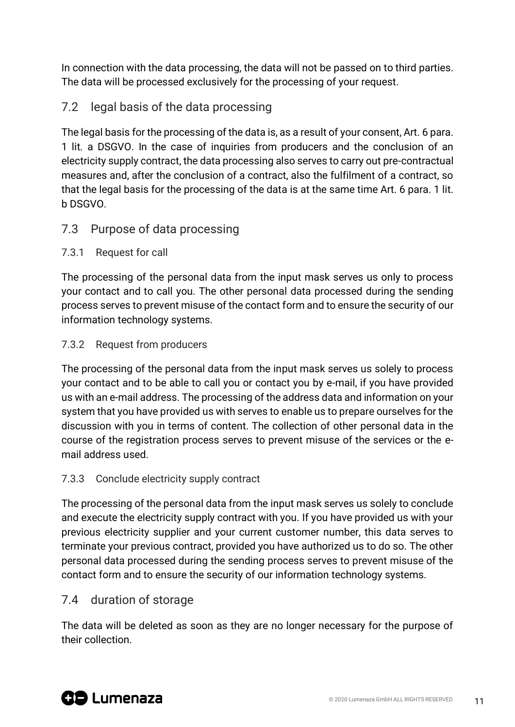In connection with the data processing, the data will not be passed on to third parties. The data will be processed exclusively for the processing of your request.

# 7.2 legal basis of the data processing

The legal basis for the processing of the data is, as a result of your consent, Art. 6 para. 1 lit. a DSGVO. In the case of inquiries from producers and the conclusion of an electricity supply contract, the data processing also serves to carry out pre-contractual measures and, after the conclusion of a contract, also the fulfilment of a contract, so that the legal basis for the processing of the data is at the same time Art. 6 para. 1 lit. b DSGVO.

### 7.3 Purpose of data processing

#### 7.3.1 Request for call

The processing of the personal data from the input mask serves us only to process your contact and to call you. The other personal data processed during the sending process serves to prevent misuse of the contact form and to ensure the security of our information technology systems.

#### 7.3.2 Request from producers

The processing of the personal data from the input mask serves us solely to process your contact and to be able to call you or contact you by e-mail, if you have provided us with an e-mail address. The processing of the address data and information on your system that you have provided us with serves to enable us to prepare ourselves for the discussion with you in terms of content. The collection of other personal data in the course of the registration process serves to prevent misuse of the services or the email address used.

#### 7.3.3 Conclude electricity supply contract

The processing of the personal data from the input mask serves us solely to conclude and execute the electricity supply contract with you. If you have provided us with your previous electricity supplier and your current customer number, this data serves to terminate your previous contract, provided you have authorized us to do so. The other personal data processed during the sending process serves to prevent misuse of the contact form and to ensure the security of our information technology systems.

#### 7.4 duration of storage

The data will be deleted as soon as they are no longer necessary for the purpose of their collection.

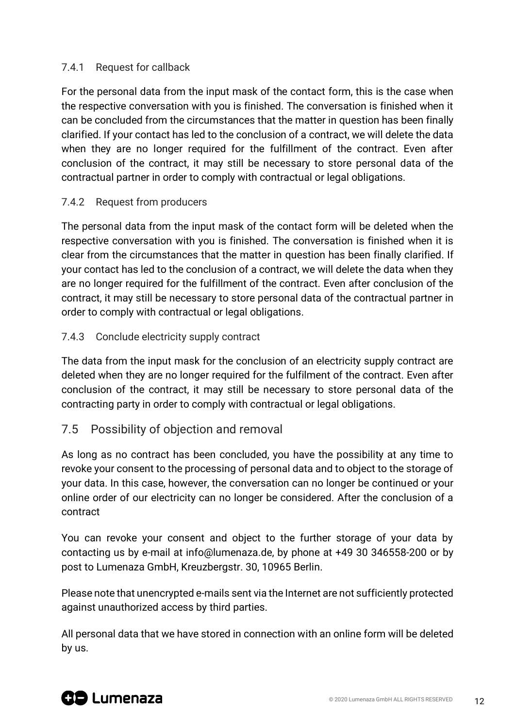#### 7.4.1 Request for callback

For the personal data from the input mask of the contact form, this is the case when the respective conversation with you is finished. The conversation is finished when it can be concluded from the circumstances that the matter in question has been finally clarified. If your contact has led to the conclusion of a contract, we will delete the data when they are no longer required for the fulfillment of the contract. Even after conclusion of the contract, it may still be necessary to store personal data of the contractual partner in order to comply with contractual or legal obligations.

#### 7.4.2 Request from producers

The personal data from the input mask of the contact form will be deleted when the respective conversation with you is finished. The conversation is finished when it is clear from the circumstances that the matter in question has been finally clarified. If your contact has led to the conclusion of a contract, we will delete the data when they are no longer required for the fulfillment of the contract. Even after conclusion of the contract, it may still be necessary to store personal data of the contractual partner in order to comply with contractual or legal obligations.

#### 7.4.3 Conclude electricity supply contract

The data from the input mask for the conclusion of an electricity supply contract are deleted when they are no longer required for the fulfilment of the contract. Even after conclusion of the contract, it may still be necessary to store personal data of the contracting party in order to comply with contractual or legal obligations.

#### 7.5 Possibility of objection and removal

As long as no contract has been concluded, you have the possibility at any time to revoke your consent to the processing of personal data and to object to the storage of your data. In this case, however, the conversation can no longer be continued or your online order of our electricity can no longer be considered. After the conclusion of a contract

You can revoke your consent and object to the further storage of your data by contacting us by e-mail at info@lumenaza.de, by phone at +49 30 346558-200 or by post to Lumenaza GmbH, Kreuzbergstr. 30, 10965 Berlin.

Please note that unencrypted e-mails sent via the Internet are not sufficiently protected against unauthorized access by third parties.

All personal data that we have stored in connection with an online form will be deleted by us.

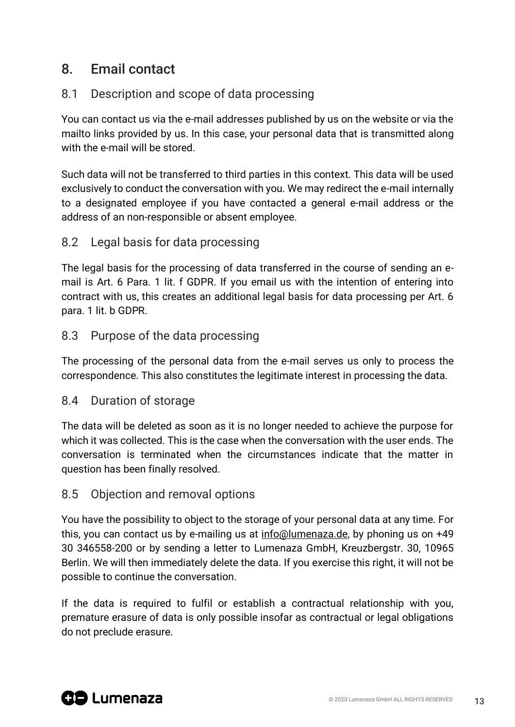# 8. Email contact

# 8.1 Description and scope of data processing

You can contact us via the e-mail addresses published by us on the website or via the mailto links provided by us. In this case, your personal data that is transmitted along with the e-mail will be stored.

Such data will not be transferred to third parties in this context. This data will be used exclusively to conduct the conversation with you. We may redirect the e-mail internally to a designated employee if you have contacted a general e-mail address or the address of an non-responsible or absent employee.

### 8.2 Legal basis for data processing

The legal basis for the processing of data transferred in the course of sending an email is Art. 6 Para. 1 lit. f GDPR. If you email us with the intention of entering into contract with us, this creates an additional legal basis for data processing per Art. 6 para. 1 lit. b GDPR.

#### 8.3 Purpose of the data processing

The processing of the personal data from the e-mail serves us only to process the correspondence. This also constitutes the legitimate interest in processing the data.

#### 8.4 Duration of storage

The data will be deleted as soon as it is no longer needed to achieve the purpose for which it was collected. This is the case when the conversation with the user ends. The conversation is terminated when the circumstances indicate that the matter in question has been finally resolved.

### 8.5 Objection and removal options

You have the possibility to object to the storage of your personal data at any time. For this, you can contact us by e-mailing us at [info@lumenaza.de,](mailto:info@lumenaza.de) by phoning us on +49 30 346558-200 or by sending a letter to Lumenaza GmbH, Kreuzbergstr. 30, 10965 Berlin. We will then immediately delete the data. If you exercise this right, it will not be possible to continue the conversation.

If the data is required to fulfil or establish a contractual relationship with you, premature erasure of data is only possible insofar as contractual or legal obligations do not preclude erasure.

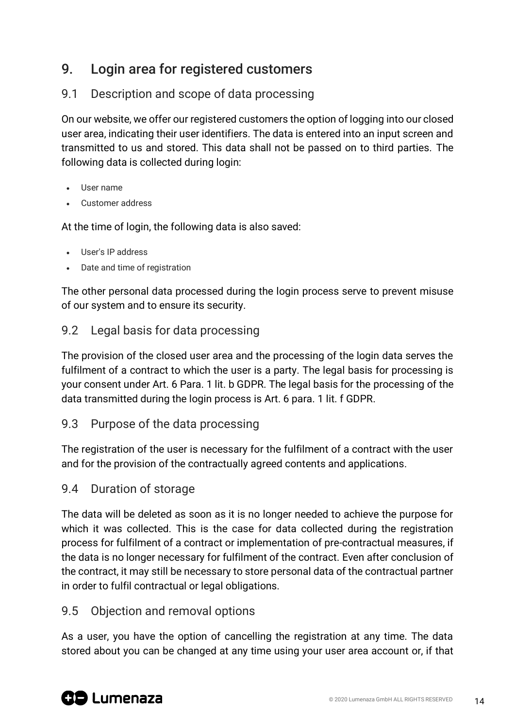# 9. Login area for registered customers

# 9.1 Description and scope of data processing

On our website, we offer our registered customers the option of logging into our closed user area, indicating their user identifiers. The data is entered into an input screen and transmitted to us and stored. This data shall not be passed on to third parties. The following data is collected during login:

- User name
- Customer address

At the time of login, the following data is also saved:

- User's IP address
- Date and time of registration

The other personal data processed during the login process serve to prevent misuse of our system and to ensure its security.

### 9.2 Legal basis for data processing

The provision of the closed user area and the processing of the login data serves the fulfilment of a contract to which the user is a party. The legal basis for processing is your consent under Art. 6 Para. 1 lit. b GDPR. The legal basis for the processing of the data transmitted during the login process is Art. 6 para. 1 lit. f GDPR.

9.3 Purpose of the data processing

The registration of the user is necessary for the fulfilment of a contract with the user and for the provision of the contractually agreed contents and applications.

### 9.4 Duration of storage

The data will be deleted as soon as it is no longer needed to achieve the purpose for which it was collected. This is the case for data collected during the registration process for fulfilment of a contract or implementation of pre-contractual measures, if the data is no longer necessary for fulfilment of the contract. Even after conclusion of the contract, it may still be necessary to store personal data of the contractual partner in order to fulfil contractual or legal obligations.

### 9.5 Objection and removal options

As a user, you have the option of cancelling the registration at any time. The data stored about you can be changed at any time using your user area account or, if that

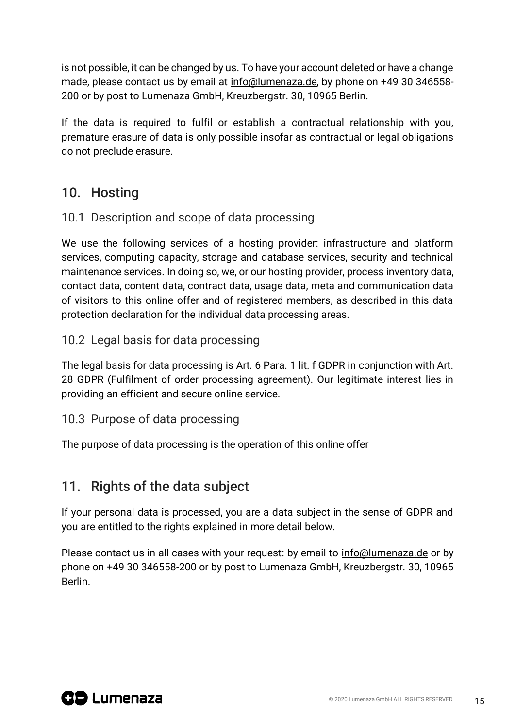is not possible, it can be changed by us. To have your account deleted or have a change made, please contact us by email at [info@lumenaza.de,](mailto:info@lumenaza.de) by phone on +49 30 346558- 200 or by post to Lumenaza GmbH, Kreuzbergstr. 30, 10965 Berlin.

If the data is required to fulfil or establish a contractual relationship with you, premature erasure of data is only possible insofar as contractual or legal obligations do not preclude erasure.

# 10. Hosting

# 10.1 Description and scope of data processing

We use the following services of a hosting provider: infrastructure and platform services, computing capacity, storage and database services, security and technical maintenance services. In doing so, we, or our hosting provider, process inventory data, contact data, content data, contract data, usage data, meta and communication data of visitors to this online offer and of registered members, as described in this data protection declaration for the individual data processing areas.

# 10.2 Legal basis for data processing

The legal basis for data processing is Art. 6 Para. 1 lit. f GDPR in conjunction with Art. 28 GDPR (Fulfilment of order processing agreement). Our legitimate interest lies in providing an efficient and secure online service.

### 10.3 Purpose of data processing

The purpose of data processing is the operation of this online offer

# 11. Rights of the data subject

If your personal data is processed, you are a data subject in the sense of GDPR and you are entitled to the rights explained in more detail below.

Please contact us in all cases with your request: by email to [info@lumenaza.de](mailto:info@lumenaza.de) or by phone on +49 30 346558-200 or by post to Lumenaza GmbH, Kreuzbergstr. 30, 10965 Berlin.

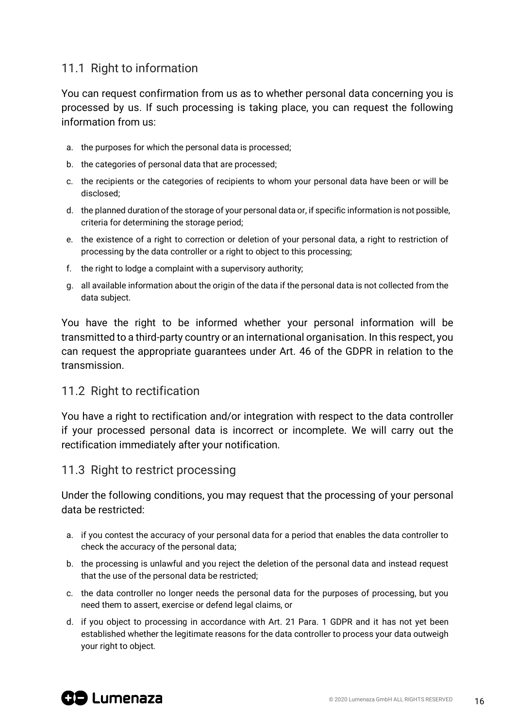# 11.1 Right to information

You can request confirmation from us as to whether personal data concerning you is processed by us. If such processing is taking place, you can request the following information from us:

- a. the purposes for which the personal data is processed;
- b. the categories of personal data that are processed;
- c. the recipients or the categories of recipients to whom your personal data have been or will be disclosed;
- d. the planned duration of the storage of your personal data or, if specific information is not possible, criteria for determining the storage period;
- e. the existence of a right to correction or deletion of your personal data, a right to restriction of processing by the data controller or a right to object to this processing;
- f. the right to lodge a complaint with a supervisory authority;
- g. all available information about the origin of the data if the personal data is not collected from the data subject.

You have the right to be informed whether your personal information will be transmitted to a third-party country or an international organisation. In this respect, you can request the appropriate guarantees under Art. 46 of the GDPR in relation to the transmission.

#### 11.2 Right to rectification

You have a right to rectification and/or integration with respect to the data controller if your processed personal data is incorrect or incomplete. We will carry out the rectification immediately after your notification.

#### 11.3 Right to restrict processing

Under the following conditions, you may request that the processing of your personal data be restricted:

- a. if you contest the accuracy of your personal data for a period that enables the data controller to check the accuracy of the personal data;
- b. the processing is unlawful and you reject the deletion of the personal data and instead request that the use of the personal data be restricted;
- c. the data controller no longer needs the personal data for the purposes of processing, but you need them to assert, exercise or defend legal claims, or
- d. if you object to processing in accordance with Art. 21 Para. 1 GDPR and it has not yet been established whether the legitimate reasons for the data controller to process your data outweigh your right to object.

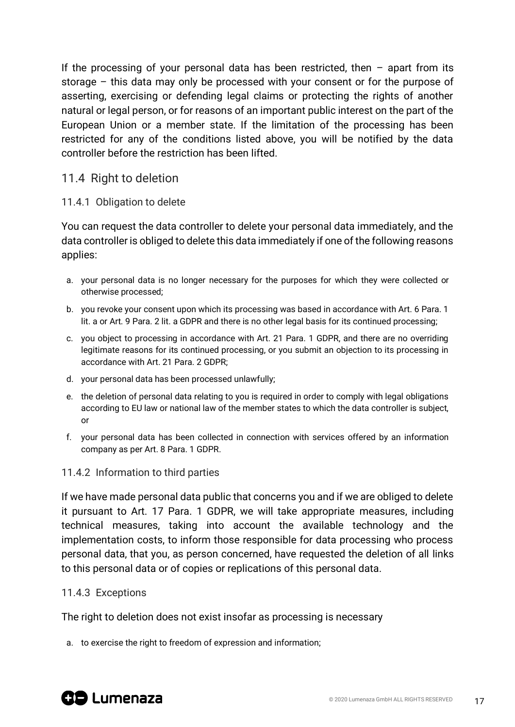If the processing of your personal data has been restricted, then – apart from its storage – this data may only be processed with your consent or for the purpose of asserting, exercising or defending legal claims or protecting the rights of another natural or legal person, or for reasons of an important public interest on the part of the European Union or a member state. If the limitation of the processing has been restricted for any of the conditions listed above, you will be notified by the data controller before the restriction has been lifted.

#### 11.4 Right to deletion

#### 11.4.1 Obligation to delete

You can request the data controller to delete your personal data immediately, and the data controller is obliged to delete this data immediately if one of the following reasons applies:

- a. your personal data is no longer necessary for the purposes for which they were collected or otherwise processed;
- b. you revoke your consent upon which its processing was based in accordance with Art. 6 Para. 1 lit. a or Art. 9 Para. 2 lit. a GDPR and there is no other legal basis for its continued processing;
- c. you object to processing in accordance with Art. 21 Para. 1 GDPR, and there are no overriding legitimate reasons for its continued processing, or you submit an objection to its processing in accordance with Art. 21 Para. 2 GDPR;
- d. your personal data has been processed unlawfully;
- e. the deletion of personal data relating to you is required in order to comply with legal obligations according to EU law or national law of the member states to which the data controller is subject, or
- f. your personal data has been collected in connection with services offered by an information company as per Art. 8 Para. 1 GDPR.

#### 11.4.2 Information to third parties

If we have made personal data public that concerns you and if we are obliged to delete it pursuant to Art. 17 Para. 1 GDPR, we will take appropriate measures, including technical measures, taking into account the available technology and the implementation costs, to inform those responsible for data processing who process personal data, that you, as person concerned, have requested the deletion of all links to this personal data or of copies or replications of this personal data.

#### 11.4.3 Exceptions

The right to deletion does not exist insofar as processing is necessary

a. to exercise the right to freedom of expression and information;

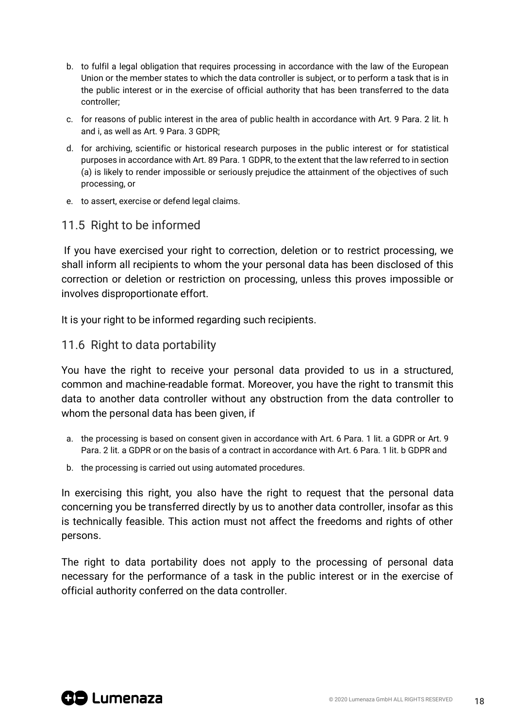- b. to fulfil a legal obligation that requires processing in accordance with the law of the European Union or the member states to which the data controller is subject, or to perform a task that is in the public interest or in the exercise of official authority that has been transferred to the data controller;
- c. for reasons of public interest in the area of public health in accordance with Art. 9 Para. 2 lit. h and i, as well as Art. 9 Para. 3 GDPR;
- d. for archiving, scientific or historical research purposes in the public interest or for statistical purposes in accordance with Art. 89 Para. 1 GDPR, to the extent that the law referred to in section (a) is likely to render impossible or seriously prejudice the attainment of the objectives of such processing, or
- e. to assert, exercise or defend legal claims.

### 11.5 Right to be informed

If you have exercised your right to correction, deletion or to restrict processing, we shall inform all recipients to whom the your personal data has been disclosed of this correction or deletion or restriction on processing, unless this proves impossible or involves disproportionate effort.

It is your right to be informed regarding such recipients.

#### 11.6 Right to data portability

You have the right to receive your personal data provided to us in a structured, common and machine-readable format. Moreover, you have the right to transmit this data to another data controller without any obstruction from the data controller to whom the personal data has been given, if

- a. the processing is based on consent given in accordance with Art. 6 Para. 1 lit. a GDPR or Art. 9 Para. 2 lit. a GDPR or on the basis of a contract in accordance with Art. 6 Para. 1 lit. b GDPR and
- b. the processing is carried out using automated procedures.

In exercising this right, you also have the right to request that the personal data concerning you be transferred directly by us to another data controller, insofar as this is technically feasible. This action must not affect the freedoms and rights of other persons.

The right to data portability does not apply to the processing of personal data necessary for the performance of a task in the public interest or in the exercise of official authority conferred on the data controller.